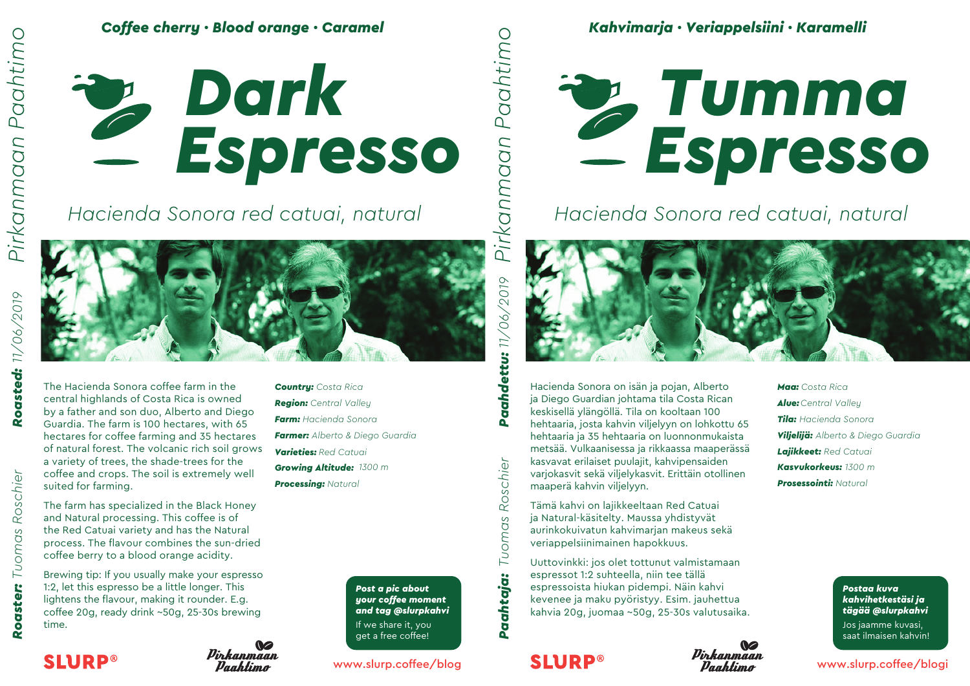

## *Hacienda Sonora red catuai, natural*

Pirkanmaan

Danhtimo



The Hacienda Sonora coffee farm in the central highlands of Costa Rica is owned by a father and son duo, Alberto and Diego Guardia. The farm is 100 hectares, with 65 hectares for coffee farming and 35 hectares of natural forest. The volcanic rich soil grows a variety of trees, the shade-trees for the coffee and crops. The soil is extremely well suited for farming.

The farm has specialized in the Black Honey and Natural processing. This coffee is of the Red Catuai variety and has the Natural process. The flavour combines the sun-dried coffee berry to a blood orange acidity.

Brewing tip: If you usually make your espresso 1:2, let this espresso be a little longer. This lightens the flavour, making it rounder. E.g. coffee 20g, ready drink ~50g, 25-30s brewing time.

*Country: Costa Rica Region: Central Valley Farm: Hacienda Sonora Farmer: Alberto & Diego Guardia Varieties: Red Catuai*

*Growing Altitude: 1300 m Processing: Natural*

> *Post a pic about your coffee moment and tag @slurpkahvi* If we share it, you get a free coffee!

Roschier

**Pachtaja:** Tuomas

**SLURP®** 

### www.slurp.coffee/blog

# *Espresso Tumma*

## *Hacienda Sonora red catuai, natural*



Hacienda Sonora on isän ja pojan, Alberto ja Diego Guardian johtama tila Costa Rican keskisellä ylängöllä. Tila on kooltaan 100 hehtaaria, josta kahvin viljelyyn on lohkottu 65 hehtaaria ja 35 hehtaaria on luonnonmukaista metsää. Vulkaanisessa ja rikkaassa maaperässä kasvavat erilaiset puulajit, kahvipensaiden varjokasvit sekä viljelykasvit. Erittäin otollinen maaperä kahvin viljelyyn.

Tämä kahvi on lajikkeeltaan Red Catuai ja Natural-käsitelty. Maussa yhdistyvät aurinkokuivatun kahvimarjan makeus sekä veriappelsiinimainen hapokkuus.

Uuttovinkki: jos olet tottunut valmistamaan espressot 1:2 suhteella, niin tee tällä espressoista hiukan pidempi. Näin kahvi kevenee ja maku pyöristyy. Esim. jauhettua kahvia 20g, juomaa ~50g, 25-30s valutusaika.



*Maa: Costa Rica Alue:Central Valley Tila: Hacienda Sonora Viljelijä: Alberto & Diego Guardia Lajikkeet: Red Catuai Kasvukorkeus: 1300 m Prosessointi: Natural*

> *Postaa kuva kahvihetkestäsi ja tägää @slurpkahvi* Jos jaamme kuvasi, saat ilmaisen kahvin!

www.slurp.coffee/blogi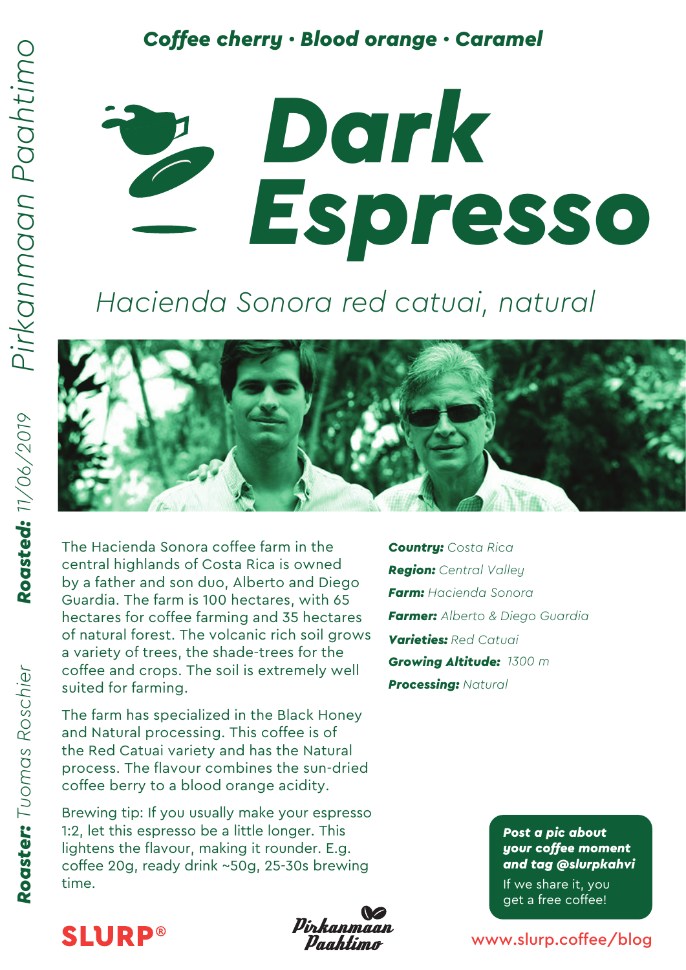Roaster: Tuomas Roschier

### **Coffee cherry · Blood orange · Caramel**



# *Hacienda Sonora red catuai, natural*



The Hacienda Sonora coffee farm in the central highlands of Costa Rica is owned by a father and son duo, Alberto and Diego Guardia. The farm is 100 hectares, with 65 hectares for coffee farming and 35 hectares of natural forest. The volcanic rich soil grows a variety of trees, the shade-trees for the coffee and crops. The soil is extremely well suited for farming.

The farm has specialized in the Black Honey and Natural processing. This coffee is of the Red Catuai variety and has the Natural process. The flavour combines the sun-dried coffee berry to a blood orange acidity.

Brewing tip: If you usually make your espresso 1:2, let this espresso be a little longer. This lightens the flavour, making it rounder. E.g. coffee 20g, ready drink ~50g, 25-30s brewing time.

*Country: Costa Rica Region: Central Valley Farm: Hacienda Sonora Farmer: Alberto & Diego Guardia Varieties: Red Catuai Growing Altitude: 1300 m Processing: Natural*

> *Post a pic about your coffee moment and tag @slurpkahvi* If we share it, you get a free coffee!

**SLURP®** 



www.slurp.coffee/blog